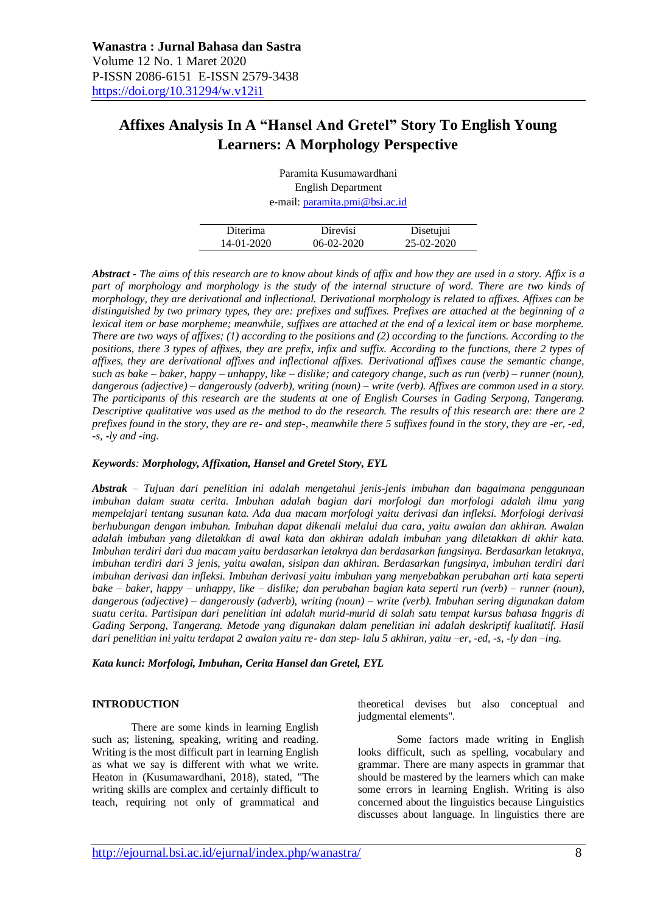# **Affixes Analysis In A "Hansel And Gretel" Story To English Young Learners: A Morphology Perspective**

Paramita Kusumawardhani English Department e-mail: [paramita.pmi@bsi.ac.id](mailto:paramita.pmi@bsi.ac.id)

| Diterima   | Direvisi   | Disetujui  |
|------------|------------|------------|
| 14-01-2020 | 06-02-2020 | 25-02-2020 |
|            |            |            |

*Abstract - The aims of this research are to know about kinds of affix and how they are used in a story. Affix is a part of morphology and morphology is the study of the internal structure of word. There are two kinds of morphology, they are derivational and inflectional. Derivational morphology is related to affixes. Affixes can be distinguished by two primary types, they are: prefixes and suffixes. Prefixes are attached at the beginning of a lexical item or base morpheme; meanwhile, suffixes are attached at the end of a lexical item or base morpheme. There are two ways of affixes; (1) according to the positions and (2) according to the functions. According to the positions, there 3 types of affixes, they are prefix, infix and suffix. According to the functions, there 2 types of affixes, they are derivational affixes and inflectional affixes. Derivational affixes cause the semantic change, such as bake – baker, happy – unhappy, like – dislike; and category change, such as run (verb) – runner (noun), dangerous (adjective) – dangerously (adverb), writing (noun) – write (verb). Affixes are common used in a story. The participants of this research are the students at one of English Courses in Gading Serpong, Tangerang. Descriptive qualitative was used as the method to do the research. The results of this research are: there are 2 prefixes found in the story, they are re- and step-, meanwhile there 5 suffixes found in the story, they are -er, -ed, -s, -ly and -ing.*

#### *Keywords: Morphology, Affixation, Hansel and Gretel Story, EYL*

*Abstrak – Tujuan dari penelitian ini adalah mengetahui jenis-jenis imbuhan dan bagaimana penggunaan imbuhan dalam suatu cerita. Imbuhan adalah bagian dari morfologi dan morfologi adalah ilmu yang mempelajari tentang susunan kata. Ada dua macam morfologi yaitu derivasi dan infleksi. Morfologi derivasi berhubungan dengan imbuhan. Imbuhan dapat dikenali melalui dua cara, yaitu awalan dan akhiran. Awalan adalah imbuhan yang diletakkan di awal kata dan akhiran adalah imbuhan yang diletakkan di akhir kata. Imbuhan terdiri dari dua macam yaitu berdasarkan letaknya dan berdasarkan fungsinya. Berdasarkan letaknya, imbuhan terdiri dari 3 jenis, yaitu awalan, sisipan dan akhiran. Berdasarkan fungsinya, imbuhan terdiri dari imbuhan derivasi dan infleksi. Imbuhan derivasi yaitu imbuhan yang menyebabkan perubahan arti kata seperti bake – baker, happy – unhappy, like – dislike; dan perubahan bagian kata seperti run (verb) – runner (noun), dangerous (adjective) – dangerously (adverb), writing (noun) – write (verb). Imbuhan sering digunakan dalam suatu cerita. Partisipan dari penelitian ini adalah murid-murid di salah satu tempat kursus bahasa Inggris di Gading Serpong, Tangerang. Metode yang digunakan dalam penelitian ini adalah deskriptif kualitatif. Hasil dari penelitian ini yaitu terdapat 2 awalan yaitu re- dan step- lalu 5 akhiran, yaitu –er, -ed, -s, -ly dan –ing.*

*Kata kunci: Morfologi, Imbuhan, Cerita Hansel dan Gretel, EYL*

#### **INTRODUCTION**

There are some kinds in learning English such as; listening, speaking, writing and reading. Writing is the most difficult part in learning English as what we say is different with what we write. Heaton in (Kusumawardhani, 2018), stated, "The writing skills are complex and certainly difficult to teach, requiring not only of grammatical and theoretical devises but also conceptual and judgmental elements".

Some factors made writing in English looks difficult, such as spelling, vocabulary and grammar. There are many aspects in grammar that should be mastered by the learners which can make some errors in learning English. Writing is also concerned about the linguistics because Linguistics discusses about language. In linguistics there are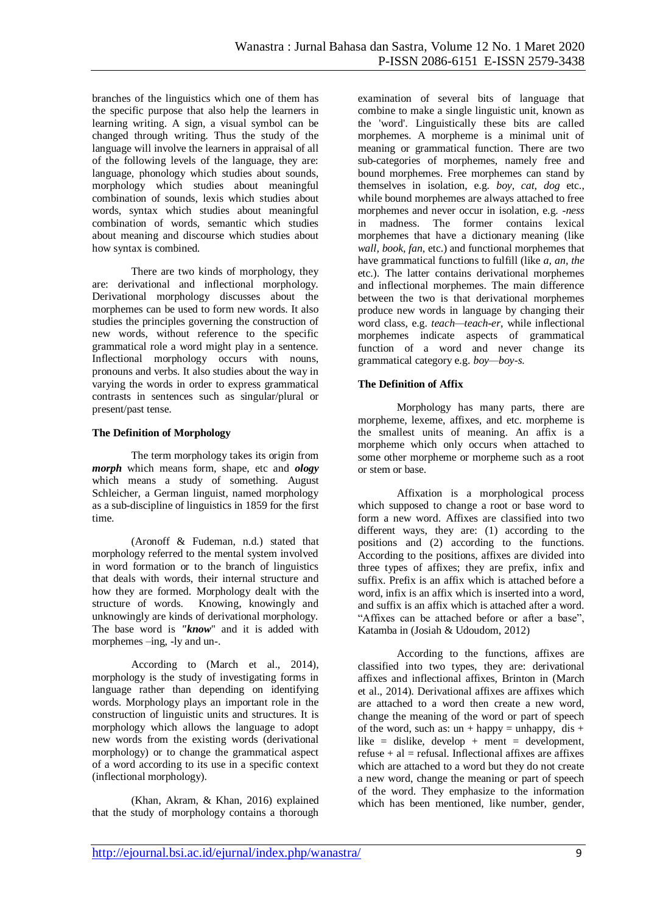branches of the linguistics which one of them has the specific purpose that also help the learners in learning writing. A sign, a visual symbol can be changed through writing. Thus the study of the language will involve the learners in appraisal of all of the following levels of the language, they are: language, phonology which studies about sounds, morphology which studies about meaningful combination of sounds, lexis which studies about words, syntax which studies about meaningful combination of words, semantic which studies about meaning and discourse which studies about how syntax is combined.

There are two kinds of morphology, they are: derivational and inflectional morphology. Derivational morphology discusses about the morphemes can be used to form new words. It also studies the principles governing the construction of new words, without reference to the specific grammatical role a word might play in a sentence. Inflectional morphology occurs with nouns, pronouns and verbs. It also studies about the way in varying the words in order to express grammatical contrasts in sentences such as singular/plural or present/past tense.

#### **The Definition of Morphology**

The term morphology takes its origin from *morph* which means form, shape, etc and *ology* which means a study of something. August Schleicher, a German linguist, named morphology as a sub-discipline of linguistics in 1859 for the first time.

(Aronoff & Fudeman, n.d.) stated that morphology referred to the mental system involved in word formation or to the branch of linguistics that deals with words, their internal structure and how they are formed. Morphology dealt with the structure of words. Knowing, knowingly and unknowingly are kinds of derivational morphology. The base word is *"know*" and it is added with morphemes –ing, -ly and un-.

According to (March et al., 2014), morphology is the study of investigating forms in language rather than depending on identifying words. Morphology plays an important role in the construction of linguistic units and structures. It is morphology which allows the language to adopt new words from the existing words (derivational morphology) or to change the grammatical aspect of a word according to its use in a specific context (inflectional morphology).

(Khan, Akram, & Khan, 2016) explained that the study of morphology contains a thorough

examination of several bits of language that combine to make a single linguistic unit, known as the 'word'. Linguistically these bits are called morphemes. A morpheme is a minimal unit of meaning or grammatical function. There are two sub-categories of morphemes, namely free and bound morphemes. Free morphemes can stand by themselves in isolation, e.g. *boy, cat, dog* etc., while bound morphemes are always attached to free morphemes and never occur in isolation, e.g. -*ness*  in madness. The former contains lexical morphemes that have a dictionary meaning (like *wall, book, fan*, etc.) and functional morphemes that have grammatical functions to fulfill (like *a, an, the*  etc.). The latter contains derivational morphemes and inflectional morphemes. The main difference between the two is that derivational morphemes produce new words in language by changing their word class, e.g. *teach—teach-er*, while inflectional morphemes indicate aspects of grammatical function of a word and never change its grammatical category e.g. *boy—boy-s.*

## **The Definition of Affix**

Morphology has many parts, there are morpheme, lexeme, affixes, and etc. morpheme is the smallest units of meaning. An affix is a morpheme which only occurs when attached to some other morpheme or morpheme such as a root or stem or base.

Affixation is a morphological process which supposed to change a root or base word to form a new word. Affixes are classified into two different ways, they are: (1) according to the positions and (2) according to the functions. According to the positions, affixes are divided into three types of affixes; they are prefix, infix and suffix. Prefix is an affix which is attached before a word, infix is an affix which is inserted into a word, and suffix is an affix which is attached after a word. "Affixes can be attached before or after a base", Katamba in (Josiah & Udoudom, 2012)

According to the functions, affixes are classified into two types, they are: derivational affixes and inflectional affixes, Brinton in (March et al., 2014). Derivational affixes are affixes which are attached to a word then create a new word, change the meaning of the word or part of speech of the word, such as:  $un + happy = unhappy$ , dis + like = dislike, develop + ment = development, refuse  $+$  al  $=$  refusal. Inflectional affixes are affixes which are attached to a word but they do not create a new word, change the meaning or part of speech of the word. They emphasize to the information which has been mentioned, like number, gender,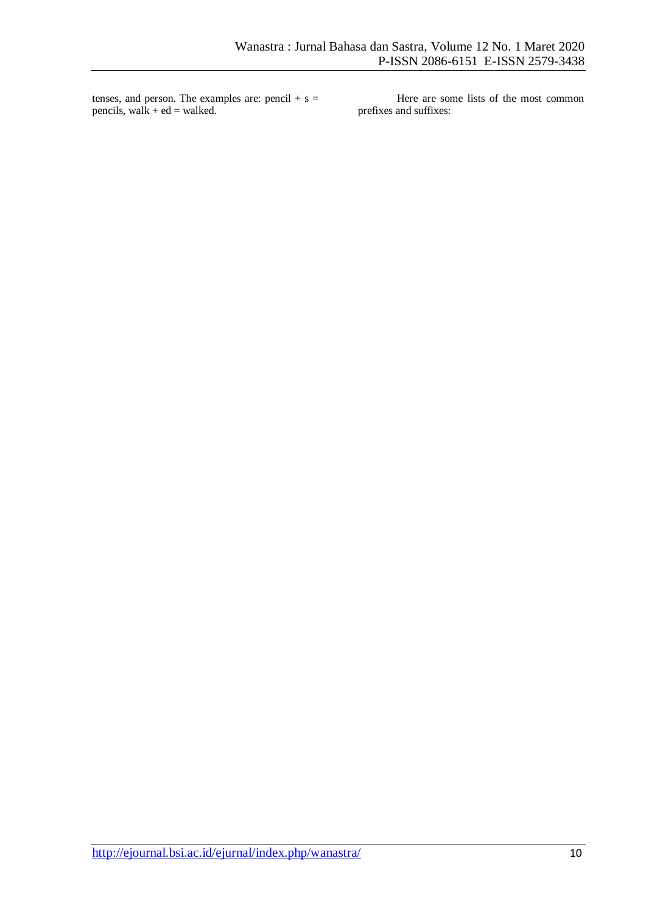tenses, and person. The examples are: pencil  $+ s =$ pencils, walk + ed = walked.

Here are some lists of the most common prefixes and suffixes: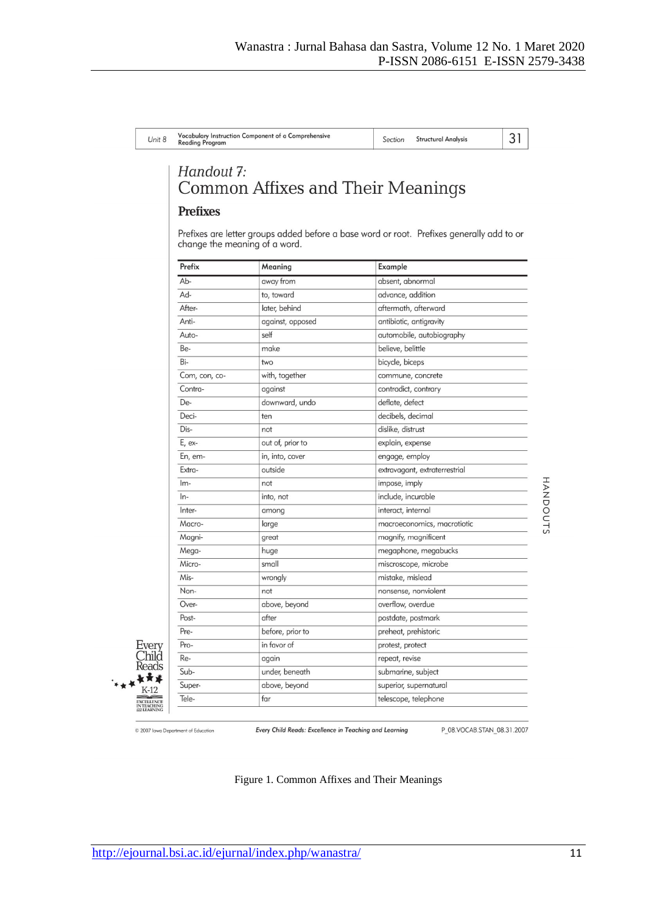| Unit 8 | Vocabulary Instruction Component of a Comprehensive<br><b>Reading Program</b> | <b>Structural Analysis</b><br>Section |  |
|--------|-------------------------------------------------------------------------------|---------------------------------------|--|
|        | Handout 7:<br>Common Affixes and Their Meanings                               |                                       |  |
|        | <b>Prefixes</b>                                                               |                                       |  |

Prefixes are letter groups added before a base word or root. Prefixes generally add to or change the meaning of a word.

| Prefix        | Meaning          | Example                       |
|---------------|------------------|-------------------------------|
| Ab-           | away from        | absent, abnormal              |
| Ad-           | to, toward       | advance, addition             |
| After-        | later, behind    | aftermath, afterward          |
| Anti-         | against, opposed | antibiotic, antigravity       |
| Auto-         | self             | automobile, autobiography     |
| Be-           | make             | believe, belittle             |
| Bi-           | two              | bicycle, biceps               |
| Com, con, co- | with, together   | commune, concrete             |
| Contra-       | against          | contradict, contrary          |
| De-           | downward, undo   | deflate, defect               |
| Deci-         | ten              | decibels, decimal             |
| Dis-          | not              | dislike, distrust             |
| E, ex-        | out of, prior to | explain, expense              |
| En, em-       | in, into, cover  | engage, employ                |
| Extra-        | outside          | extravagant, extraterrestrial |
| $Im-$         | not              | impose, imply                 |
| $ln-$         | into, not        | include, incurable            |
| Inter-        | among            | interact, internal            |
| Macro-        | large            | macroeconomics, macrotiotic   |
| Magni-        | great            | magnify, magnificent          |
| Mega-         | huge             | megaphone, megabucks          |
| Micro-        | small            | miscroscope, microbe          |
| Mis-          | wrongly          | mistake, mislead              |
| Non-          | not              | nonsense, nonviolent          |
| Over-         | above, beyond    | overflow, overdue             |
| Post-         | after            | postdate, postmark            |
| Pre-          | before, prior to | preheat, prehistoric          |
| Pro-          | in favor of      | protest, protect              |
| Re-           | again            | repeat, revise                |
| Sub-          | under, beneath   | submarine, subject            |
| Super-        | above, beyond    | superior, supernatural        |
| Tele-         | far              | telescope, telephone          |

© 2007 lowa Department of Education

Every Child Reads 长青莲  $K-12$ EXCELLENCE<br>IN TEACHING

Every Child Reads: Excellence in Teaching and Learning

Figure 1. Common Affixes and Their Meanings

P\_08.VOCAB.STAN\_08.31.2007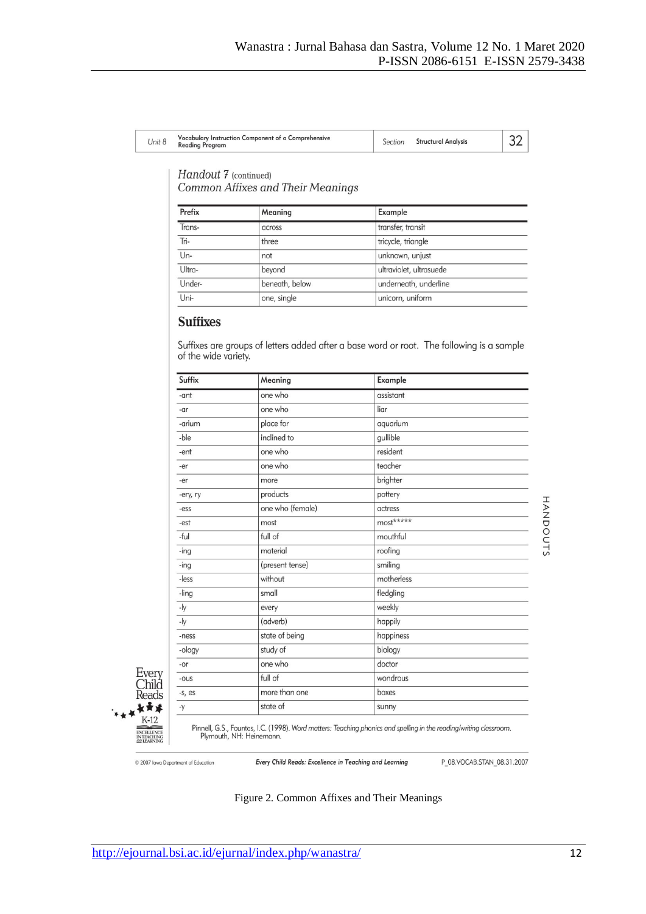| Unit 8 | Vocabulary Instruction Component of a Comprehensive<br><b>Reading Program</b> | Section | <b>Structural Analysis</b> |  |
|--------|-------------------------------------------------------------------------------|---------|----------------------------|--|
|--------|-------------------------------------------------------------------------------|---------|----------------------------|--|

# Handout 7 (continued)

**Common Affixes and Their Meanings** 

| Prefix | Meaning        | Example                 |
|--------|----------------|-------------------------|
| Trans- | across         | transfer, transit       |
| Tri-   | three          | tricycle, triangle      |
| $Un-$  | not            | unknown, unjust         |
| Ultra- | beyond         | ultraviolet, ultrasuede |
| Under- | beneath, below | underneath, underline   |
| Uni-   | one, single    | unicorn, uniform        |

# **Suffixes**

Suffixes are groups of letters added after a base word or root. The following is a sample of the wide variety.

| Suffix    | Meaning          | Example    |          |
|-----------|------------------|------------|----------|
| -ant      | one who          | assistant  |          |
| -ar       | one who          | liar       |          |
| -arium    | place for        | aquarium   |          |
| -ble      | inclined to      | gullible   |          |
| -ent      | one who          | resident   |          |
| -er       | one who          | teacher    |          |
| -er       | more             | brighter   |          |
| -ery, ry  | products         | pottery    |          |
| -ess      | one who (female) | actress    |          |
| -est      | most             | most*****  | HANDOUTS |
| -ful      | full of          | mouthful   |          |
| -ing      | material         | roofing    |          |
| $-$ ing   | (present tense)  | smiling    |          |
| -less     | without          | motherless |          |
| -ling     | small            | fledgling  |          |
| -ly       | every            | weekly     |          |
| -ly       | (adverb)         | happily    |          |
| -ness     | state of being   | happiness  |          |
| -ology    | study of         | biology    |          |
| -or       | one who          | doctor     |          |
| $-ous$    | full of          | wondrous   |          |
| $-S$ , es | more than one    | boxes      |          |
| $-y$      | state of         | sunny      |          |

Every  $\overline{\text{Child}}$ Reads 复黄素  $K-12$ EXCELLENCE<br>IN TEACHING

Pinnell, G.S., Fountas, I.C. (1998). Word matters: Teaching phonics and spelling in the reading/writing classroom.<br>Plymouth, NH: Heinemann.

© 2007 lowa Department of Education

Every Child Reads: Excellence in Teaching and Learning

P\_08.VOCAB.STAN\_08.31.2007

# Figure 2. Common Affixes and Their Meanings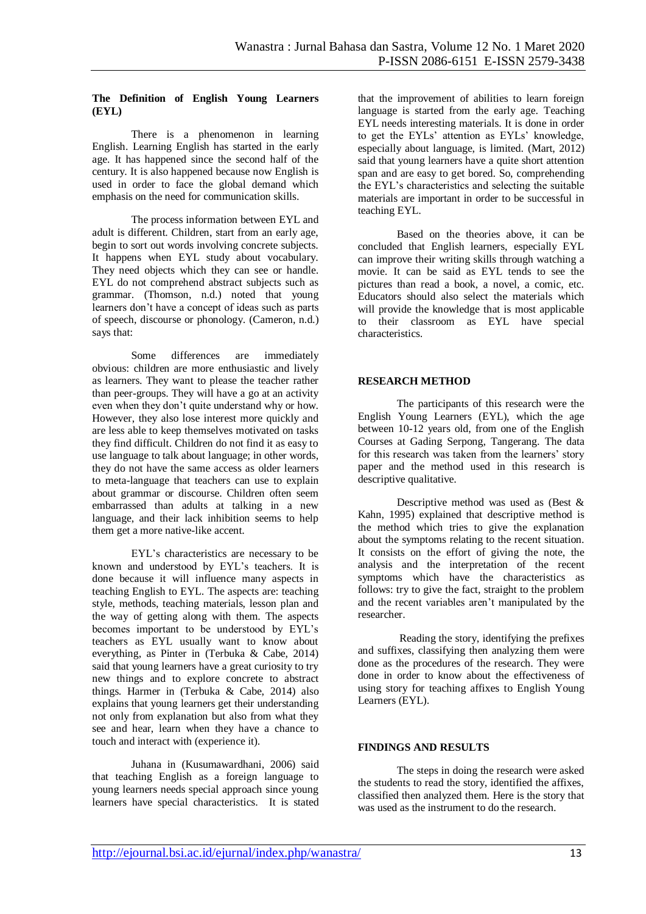#### **The Definition of English Young Learners (EYL)**

There is a phenomenon in learning English. Learning English has started in the early age. It has happened since the second half of the century. It is also happened because now English is used in order to face the global demand which emphasis on the need for communication skills.

The process information between EYL and adult is different. Children, start from an early age, begin to sort out words involving concrete subjects. It happens when EYL study about vocabulary. They need objects which they can see or handle. EYL do not comprehend abstract subjects such as grammar. (Thomson, n.d.) noted that young learners don't have a concept of ideas such as parts of speech, discourse or phonology. (Cameron, n.d.) says that:

Some differences are immediately obvious: children are more enthusiastic and lively as learners. They want to please the teacher rather than peer-groups. They will have a go at an activity even when they don't quite understand why or how. However, they also lose interest more quickly and are less able to keep themselves motivated on tasks they find difficult. Children do not find it as easy to use language to talk about language; in other words, they do not have the same access as older learners to meta-language that teachers can use to explain about grammar or discourse. Children often seem embarrassed than adults at talking in a new language, and their lack inhibition seems to help them get a more native-like accent.

EYL's characteristics are necessary to be known and understood by EYL's teachers. It is done because it will influence many aspects in teaching English to EYL. The aspects are: teaching style, methods, teaching materials, lesson plan and the way of getting along with them. The aspects becomes important to be understood by EYL's teachers as EYL usually want to know about everything, as Pinter in (Terbuka & Cabe, 2014) said that young learners have a great curiosity to try new things and to explore concrete to abstract things. Harmer in (Terbuka & Cabe, 2014) also explains that young learners get their understanding not only from explanation but also from what they see and hear, learn when they have a chance to touch and interact with (experience it).

Juhana in (Kusumawardhani, 2006) said that teaching English as a foreign language to young learners needs special approach since young learners have special characteristics. It is stated that the improvement of abilities to learn foreign language is started from the early age. Teaching EYL needs interesting materials. It is done in order to get the EYLs' attention as EYLs' knowledge, especially about language, is limited. (Mart, 2012) said that young learners have a quite short attention span and are easy to get bored. So, comprehending the EYL's characteristics and selecting the suitable materials are important in order to be successful in teaching EYL.

Based on the theories above, it can be concluded that English learners, especially EYL can improve their writing skills through watching a movie. It can be said as EYL tends to see the pictures than read a book, a novel, a comic, etc. Educators should also select the materials which will provide the knowledge that is most applicable to their classroom as EYL have special characteristics.

## **RESEARCH METHOD**

The participants of this research were the English Young Learners (EYL), which the age between 10-12 years old, from one of the English Courses at Gading Serpong, Tangerang. The data for this research was taken from the learners' story paper and the method used in this research is descriptive qualitative.

Descriptive method was used as (Best & Kahn, 1995) explained that descriptive method is the method which tries to give the explanation about the symptoms relating to the recent situation. It consists on the effort of giving the note, the analysis and the interpretation of the recent symptoms which have the characteristics as follows: try to give the fact, straight to the problem and the recent variables aren't manipulated by the researcher.

Reading the story, identifying the prefixes and suffixes, classifying then analyzing them were done as the procedures of the research. They were done in order to know about the effectiveness of using story for teaching affixes to English Young Learners (EYL).

## **FINDINGS AND RESULTS**

The steps in doing the research were asked the students to read the story, identified the affixes, classified then analyzed them. Here is the story that was used as the instrument to do the research.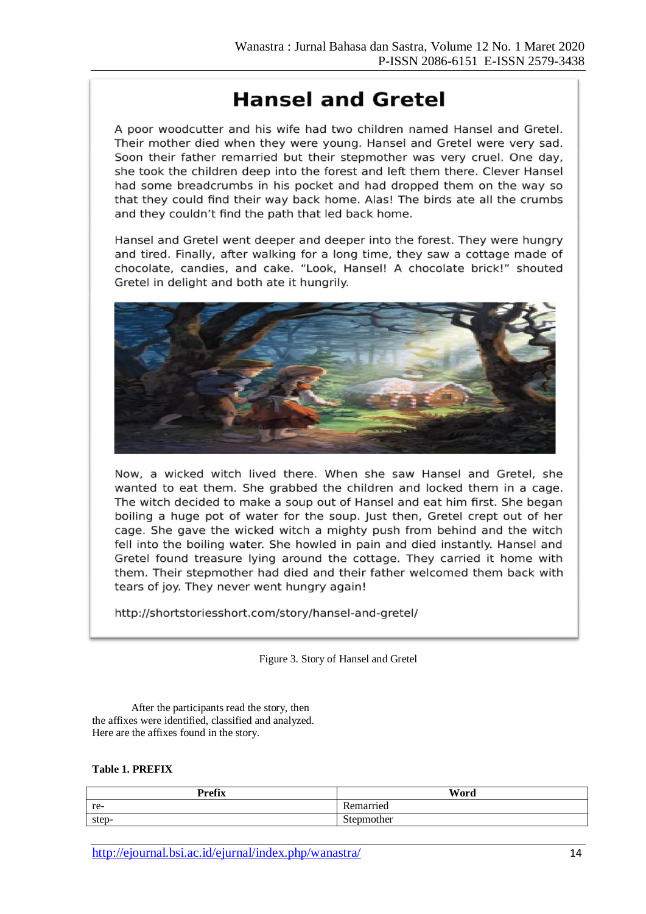# **Hansel and Gretel**

A poor woodcutter and his wife had two children named Hansel and Gretel. Their mother died when they were young. Hansel and Gretel were very sad. Soon their father remarried but their stepmother was very cruel. One day, she took the children deep into the forest and left them there. Clever Hansel had some breadcrumbs in his pocket and had dropped them on the way so that they could find their way back home. Alas! The birds ate all the crumbs and they couldn't find the path that led back home.

Hansel and Gretel went deeper and deeper into the forest. They were hungry and tired. Finally, after walking for a long time, they saw a cottage made of chocolate, candies, and cake. "Look, Hansel! A chocolate brick!" shouted Gretel in delight and both ate it hungrily.



Now, a wicked witch lived there. When she saw Hansel and Gretel, she wanted to eat them. She grabbed the children and locked them in a cage. The witch decided to make a soup out of Hansel and eat him first. She began boiling a huge pot of water for the soup. Just then, Gretel crept out of her cage. She gave the wicked witch a mighty push from behind and the witch fell into the boiling water. She howled in pain and died instantly. Hansel and Gretel found treasure lying around the cottage. They carried it home with them. Their stepmother had died and their father welcomed them back with tears of joy. They never went hungry again!

http://shortstoriesshort.com/story/hansel-and-gretel/

Figure 3. Story of Hansel and Gretel

After the participants read the story, then the affixes were identified, classified and analyzed. Here are the affixes found in the story.

# **Table 1. PREFIX**

| <b>Prefix</b> | Word       |
|---------------|------------|
| re-           | Remarried  |
| step-         | Stepmother |

http://ejournal.bsi.ac.id/ejurnal/index.php/wanastra/ 14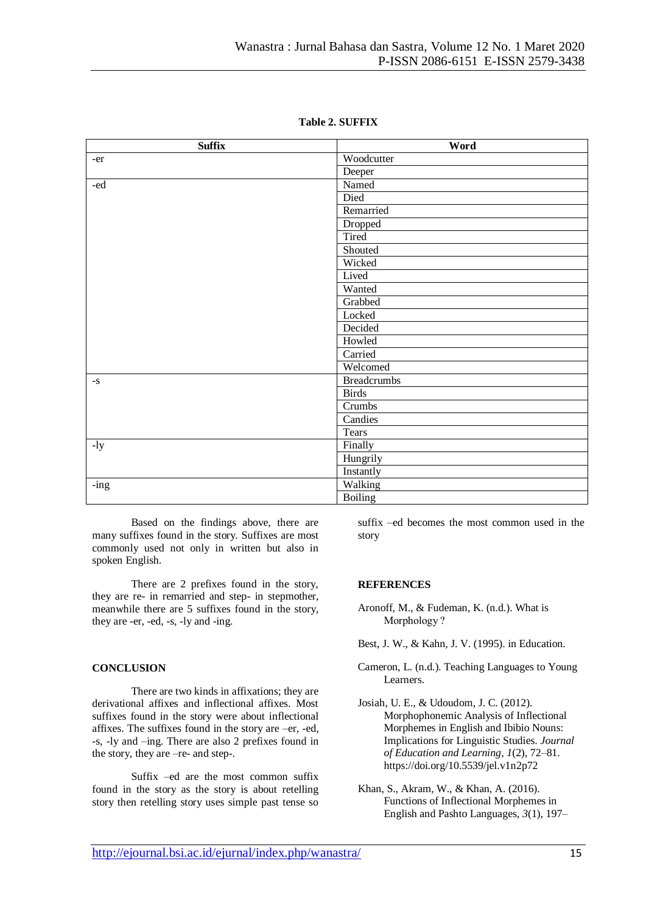| <b>Suffix</b> | Word           |
|---------------|----------------|
| -er           | Woodcutter     |
|               | Deeper         |
| - $ed$        | Named          |
|               | Died           |
|               | Remarried      |
|               | Dropped        |
|               | Tired          |
|               | Shouted        |
|               | Wicked         |
|               | Lived          |
|               | Wanted         |
|               | Grabbed        |
|               | Locked         |
|               | Decided        |
|               | Howled         |
|               | Carried        |
|               | Welcomed       |
| $-S$          | Breadcrumbs    |
|               | <b>Birds</b>   |
|               | Crumbs         |
|               | Candies        |
|               | <b>Tears</b>   |
| $-1y$         | Finally        |
|               | Hungrily       |
|               | Instantly      |
| $-$ ing       | Walking        |
|               | <b>Boiling</b> |

**Table 2. SUFFIX**

Based on the findings above, there are many suffixes found in the story. Suffixes are most commonly used not only in written but also in spoken English.

There are 2 prefixes found in the story, they are re- in remarried and step- in stepmother, meanwhile there are 5 suffixes found in the story, they are -er, -ed, -s, -ly and -ing.

#### **CONCLUSION**

There are two kinds in affixations; they are derivational affixes and inflectional affixes. Most suffixes found in the story were about inflectional affixes. The suffixes found in the story are –er, -ed, -s, -ly and –ing. There are also 2 prefixes found in the story, they are –re- and step-.

Suffix –ed are the most common suffix found in the story as the story is about retelling story then retelling story uses simple past tense so suffix –ed becomes the most common used in the story

#### **REFERENCES**

Aronoff, M., & Fudeman, K. (n.d.). What is Morphology ?

Best, J. W., & Kahn, J. V. (1995). in Education.

- Cameron, L. (n.d.). Teaching Languages to Young Learners.
- Josiah, U. E., & Udoudom, J. C. (2012). Morphophonemic Analysis of Inflectional Morphemes in English and Ibibio Nouns: Implications for Linguistic Studies. *Journal of Education and Learning*, *1*(2), 72–81. https://doi.org/10.5539/jel.v1n2p72

Khan, S., Akram, W., & Khan, A. (2016). Functions of Inflectional Morphemes in English and Pashto Languages, *3*(1), 197–